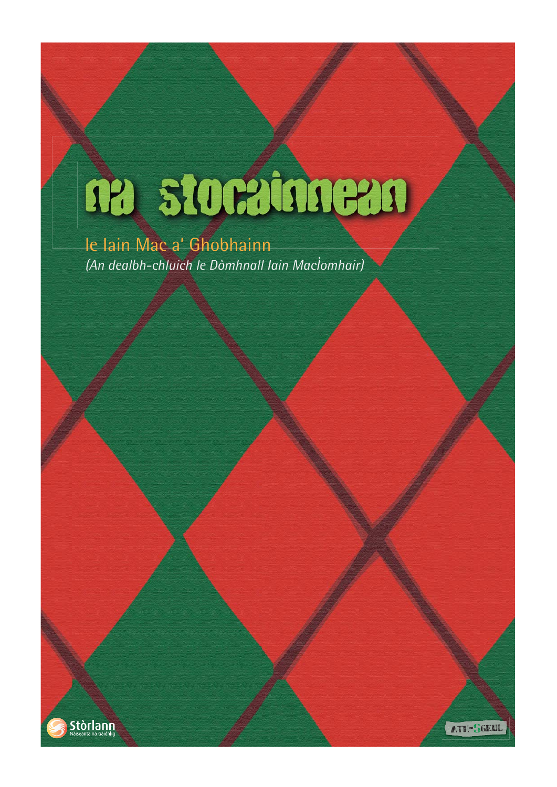# ne storatmean

# le Iain Mac a' Ghobhainn *(An dealbh-chluich le Dòmhnall Iain MacÌomhair)*



ATH-SGEUI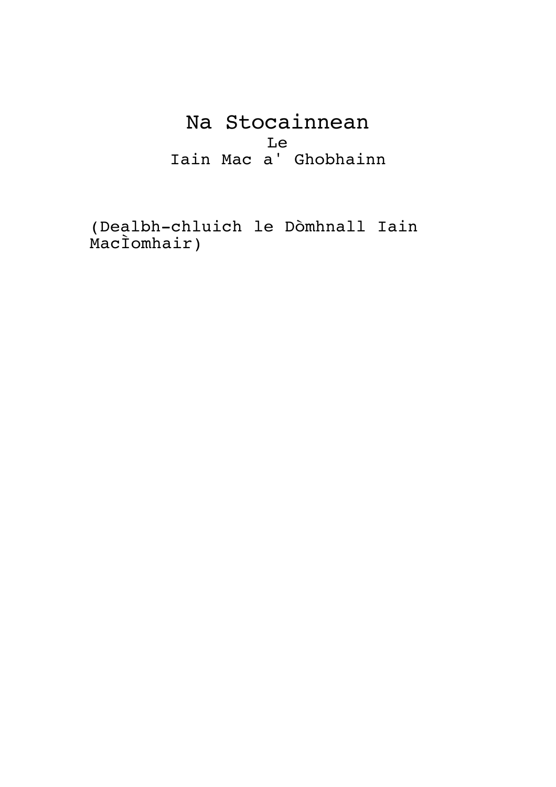Na Stocainnean Le Iain Mac a' Ghobhainn

(Dealbh-chluich le Dòmhnall Iain MacÌomhair)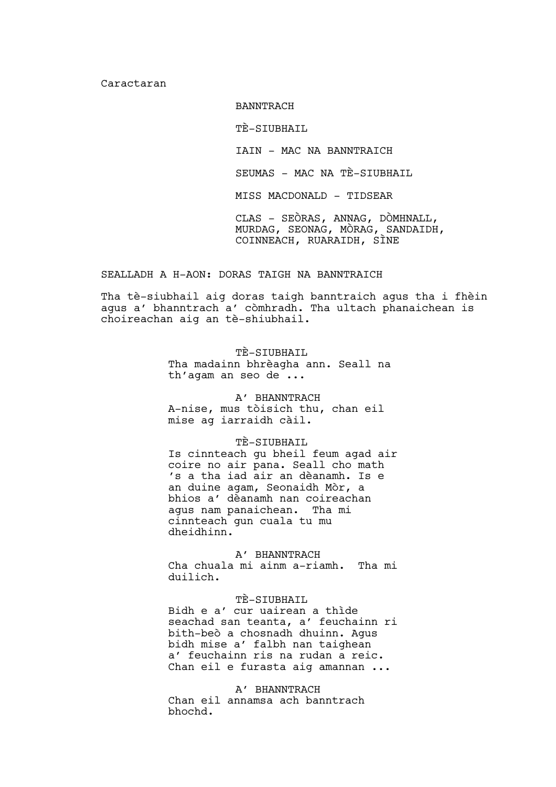Caractaran

BANNTRACH

TÈ-SIUBHAIL

IAIN – MAC NA BANNTRAICH

SEUMAS – MAC NA TÈ-SIUBHAIL

MISS MACDONALD – TIDSEAR

CLAS – SEÒRAS, ANNAG, DÒMHNALL, MURDAG, SEONAG, MÒRAG, SANDAIDH, COINNEACH, RUARAIDH, SÌNE

# SEALLADH A H-AON: DORAS TAIGH NA BANNTRAICH

Tha tè-siubhail aig doras taigh banntraich agus tha i fhèin agus a' bhanntrach a' còmhradh. Tha ultach phanaichean is choireachan aig an tè-shiubhail.

> TÈ-SIUBHAIL Tha madainn bhrèagha ann. Seall na th'agam an seo de ...

A' BHANNTRACH A-nise, mus tòisich thu, chan eil mise ag iarraidh càil.

# TÈ-SIUBHAIL

Is cinnteach gu bheil feum agad air coire no air pana. Seall cho math 's a tha iad air an dèanamh. Is e an duine agam, Seonaidh Mòr, a bhios a' dèanamh nan coireachan agus nam panaichean. Tha mi cinnteach gun cuala tu mu dheidhinn.

A' BHANNTRACH

Cha chuala mi ainm a-riamh. Tha mi duilich.

# TÈ-SIUBHAIL

Bidh e a' cur uairean a thìde seachad san teanta, a' feuchainn ri bith-beò a chosnadh dhuinn. Agus bidh mise a' falbh nan taighean a' feuchainn ris na rudan a reic. Chan eil e furasta aig amannan ...

A' BHANNTRACH

Chan eil annamsa ach banntrach bhochd.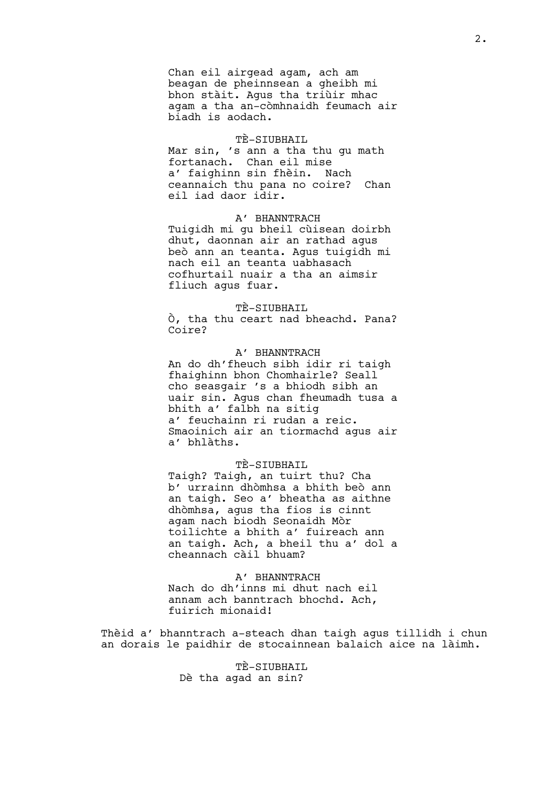Chan eil airgead agam, ach am beagan de pheinnsean a gheibh mi bhon stàit. Agus tha triùir mhac agam a tha an-còmhnaidh feumach air biadh is aodach.

## TÈ-SIUBHAIL

Mar sin, 's ann a tha thu gu math fortanach. Chan eil mise a' faighinn sin fhèin. Nach ceannaich thu pana no coire? Chan eil iad daor idir.

A' BHANNTRACH Tuigidh mi gu bheil cùisean doirbh dhut, daonnan air an rathad agus beò ann an teanta. Agus tuigidh mi nach eil an teanta uabhasach cofhurtail nuair a tha an aimsir fliuch agus fuar.

#### TÈ-SIUBHAIL

Ò, tha thu ceart nad bheachd. Pana? Coire?

A' BHANNTRACH An do dh'fheuch sibh idir ri taigh fhaighinn bhon Chomhairle? Seall cho seasgair 's a bhiodh sibh an uair sin. Agus chan fheumadh tusa a bhith a' falbh na sitig a' feuchainn ri rudan a reic. Smaoinich air an tiormachd agus air a' bhlàths.

## TÈ-SIUBHAIL

Taigh? Taigh, an tuirt thu? Cha b' urrainn dhòmhsa a bhith beò ann an taigh. Seo a' bheatha as aithne dhòmhsa, agus tha fios is cinnt agam nach biodh Seonaidh Mòr toilichte a bhith a' fuireach ann an taigh. Ach, a bheil thu a' dol a cheannach càil bhuam?

#### A' BHANNTRACH

Nach do dh'inns mi dhut nach eil annam ach banntrach bhochd. Ach, fuirich mionaid!

Thèid a' bhanntrach a-steach dhan taigh agus tillidh i chun an dorais le paidhir de stocainnean balaich aice na làimh.

> TÈ-SIUBHAIL Dè tha agad an sin?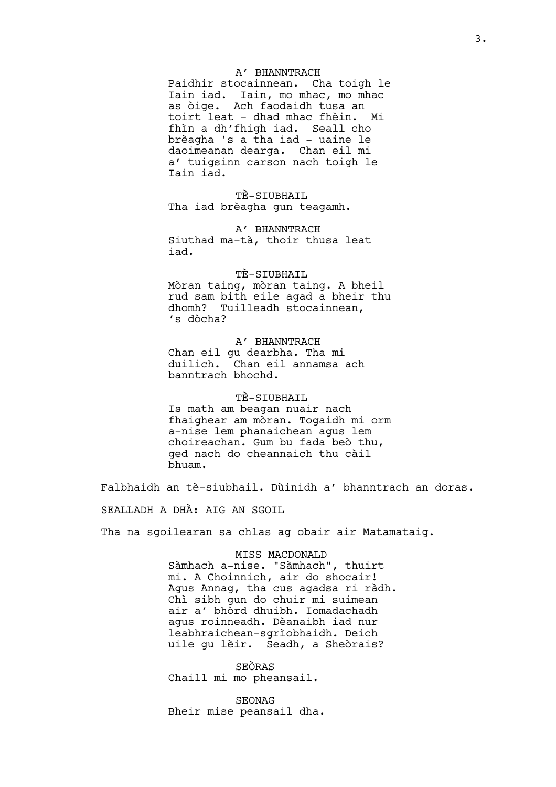#### A' BHANNTRACH

Paidhir stocainnean. Cha toigh le Iain iad. Iain, mo mhac, mo mhac as òige. Ach faodaidh tusa an toirt leat – dhad mhac fhèin. Mi fhìn a dh'fhigh iad. Seall cho brèagha 's a tha iad – uaine le daoimeanan dearga. Chan eil mi a' tuigsinn carson nach toigh le Iain iad.

TÈ-SIUBHAIL Tha iad brèagha gun teagamh.

A' BHANNTRACH Siuthad ma-tà, thoir thusa leat iad.

#### TÈ-SIUBHAIL

Mòran taing, mòran taing. A bheil rud sam bith eile agad a bheir thu dhomh? Tuilleadh stocainnean, 's dòcha?

A' BHANNTRACH Chan eil gu dearbha. Tha mi duilich. Chan eil annamsa ach banntrach bhochd.

# TÈ-SIUBHAIL

Is math am beagan nuair nach fhaighear am mòran. Togaidh mi orm a-nise lem phanaichean agus lem choireachan. Gum bu fada beò thu, ged nach do cheannaich thu càil bhuam.

Falbhaidh an tè-siubhail. Dùinidh a' bhanntrach an doras.

SEALLADH A DHÀ: AIG AN SGOIL

Tha na sgoilearan sa chlas ag obair air Matamataig.

# MISS MACDONALD

Sàmhach a-nise. "Sàmhach", thuirt mi. A Choinnich, air do shocair! Agus Annag, tha cus agadsa ri ràdh. Chì sibh gun do chuir mi suimean air a' bhòrd dhuibh. Iomadachadh agus roinneadh. Dèanaibh iad nur leabhraichean-sgrìobhaidh. Deich uile gu lèir. Seadh, a Sheòrais?

SEÒRAS Chaill mi mo pheansail.

SEONAG Bheir mise peansail dha.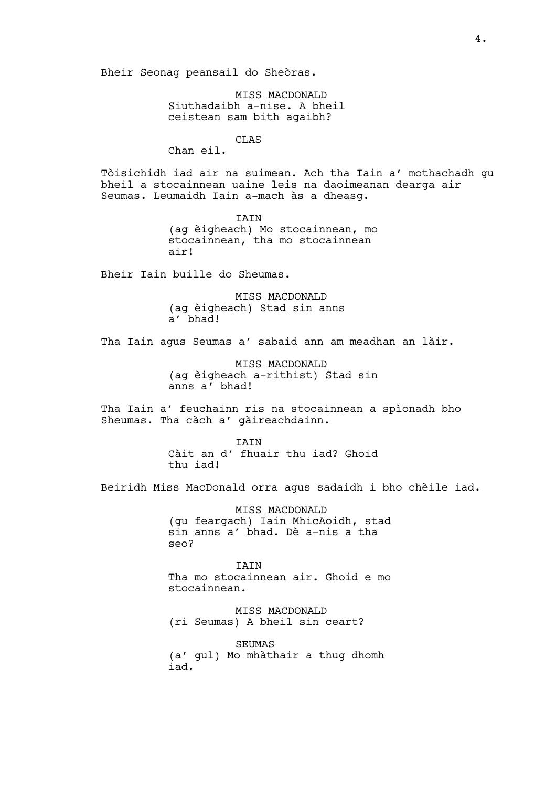Bheir Seonag peansail do Sheòras.

MISS MACDONALD Siuthadaibh a-nise. A bheil ceistean sam bith agaibh?

CLAS

Chan eil.

Tòisichidh iad air na suimean. Ach tha Iain a' mothachadh gu bheil a stocainnean uaine leis na daoimeanan dearga air Seumas. Leumaidh Iain a-mach às a dheasg.

> IAIN (ag èigheach) Mo stocainnean, mo stocainnean, tha mo stocainnean air!

Bheir Iain buille do Sheumas.

MISS MACDONALD (ag èigheach) Stad sin anns a' bhad!

Tha Iain agus Seumas a' sabaid ann am meadhan an làir.

MISS MACDONALD (ag èigheach a-rithist) Stad sin anns a' bhad!

Tha Iain a' feuchainn ris na stocainnean a spìonadh bho Sheumas. Tha càch a' gàireachdainn.

> IAIN Càit an d' fhuair thu iad? Ghoid thu iad!

Beiridh Miss MacDonald orra agus sadaidh i bho chèile iad.

MISS MACDONALD (gu feargach) Iain MhicAoidh, stad sin anns a' bhad. Dè a-nis a tha seo?

**TATN** Tha mo stocainnean air. Ghoid e mo stocainnean.

MISS MACDONALD (ri Seumas) A bheil sin ceart?

SEUMAS (a' gul) Mo mhàthair a thug dhomh iad.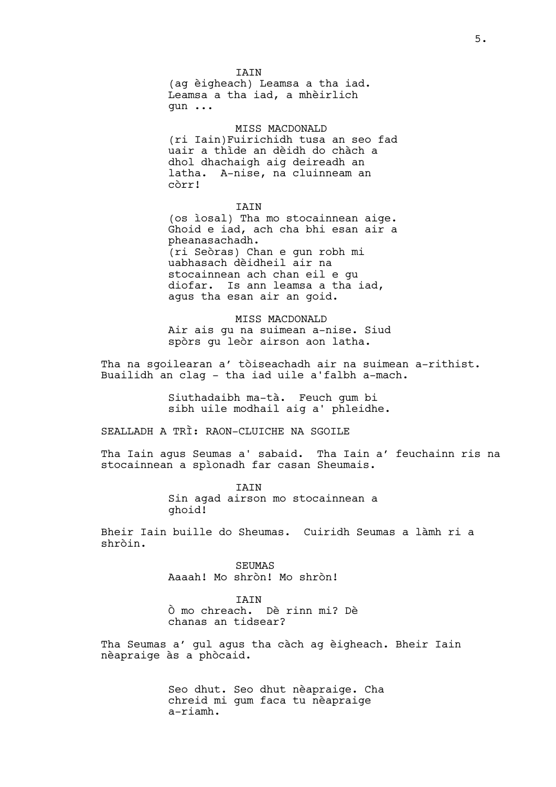IAIN (ag èigheach) Leamsa a tha iad. Leamsa a tha iad, a mhèirlich gun ...

MISS MACDONALD

(ri Iain)Fuirichidh tusa an seo fad uair a thìde an dèidh do chàch a dhol dhachaigh aig deireadh an latha. A-nise, na cluinneam an còrr!

IAIN

(os ìosal) Tha mo stocainnean aige. Ghoid e iad, ach cha bhi esan air a pheanasachadh. (ri Seòras) Chan e gun robh mi uabhasach dèidheil air na stocainnean ach chan eil e gu diofar. Is ann leamsa a tha iad, agus tha esan air an goid.

MISS MACDONALD Air ais gu na suimean a-nise. Siud spòrs gu leòr airson aon latha.

Tha na sgoilearan a' tòiseachadh air na suimean a-rithist. Buailidh an clag - tha iad uile a'falbh a-mach.

> Siuthadaibh ma-tà. Feuch gum bi sibh uile modhail aig a' phleidhe.

SEALLADH A TRÌ: RAON-CLUICHE NA SGOILE

Tha Iain agus Seumas a' sabaid. Tha Iain a' feuchainn ris na stocainnean a spìonadh far casan Sheumais.

> IAIN<br>Sin agad airson mo stocainnean a ghoid!

Bheir Iain buille do Sheumas. Cuiridh Seumas a làmh ri a shròin.

> SEUMAS Aaaah! Mo shròn! Mo shròn!

**TATN** Ò mo chreach. Dè rinn mi? Dè chanas an tidsear?

Tha Seumas a' gul agus tha càch ag èigheach. Bheir Iain nèapraige às a phòcaid.

> Seo dhut. Seo dhut nèapraige. Cha chreid mi gum faca tu nèapraige a-riamh.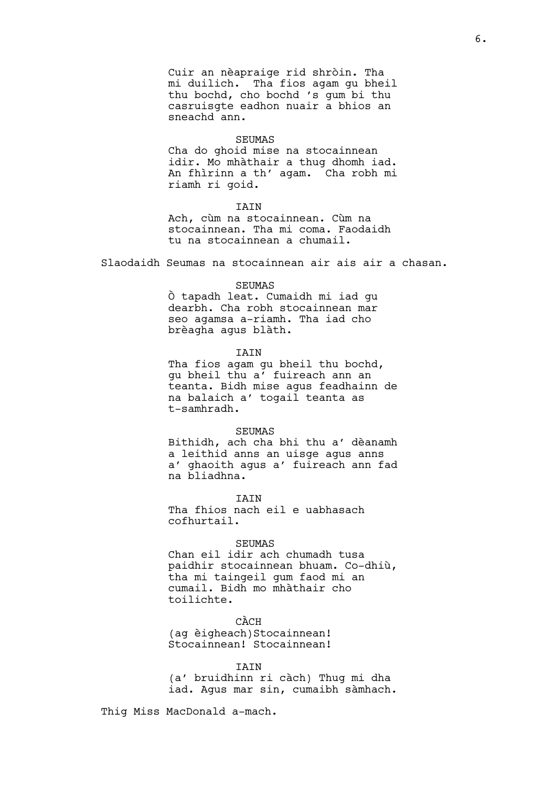Cuir an nèapraige rid shròin. Tha mi duilich. Tha fios agam gu bheil thu bochd, cho bochd 's gum bi thu casruisgte eadhon nuair a bhios an sneachd ann.

#### SEUMAS

Cha do ghoid mise na stocainnean idir. Mo mhàthair a thug dhomh iad. An fhìrinn a th' agam. Cha robh mi riamh ri goid.

#### IAIN

Ach, cùm na stocainnean. Cùm na stocainnean. Tha mi coma. Faodaidh tu na stocainnean a chumail.

Slaodaidh Seumas na stocainnean air ais air a chasan.

#### SEUMAS

Ò tapadh leat. Cumaidh mi iad gu dearbh. Cha robh stocainnean mar seo agamsa a-riamh. Tha iad cho brèagha agus blàth.

# IAIN

Tha fios agam gu bheil thu bochd, gu bheil thu a' fuireach ann an teanta. Bidh mise agus feadhainn de na balaich a' togail teanta as t-samhradh.

#### SEUMAS

Bithidh, ach cha bhi thu a' dèanamh a leithid anns an uisge agus anns a' ghaoith agus a' fuireach ann fad na bliadhna.

**TATN** 

Tha fhios nach eil e uabhasach cofhurtail.

#### SEUMAS

Chan eil idir ach chumadh tusa paidhir stocainnean bhuam. Co-dhiù, tha mi taingeil gum faod mi an cumail. Bidh mo mhàthair cho toilichte.

CÀCH (ag èigheach)Stocainnean! Stocainnean! Stocainnean!

#### **TATN**

(a' bruidhinn ri càch) Thug mi dha iad. Agus mar sin, cumaibh sàmhach.

Thig Miss MacDonald a-mach.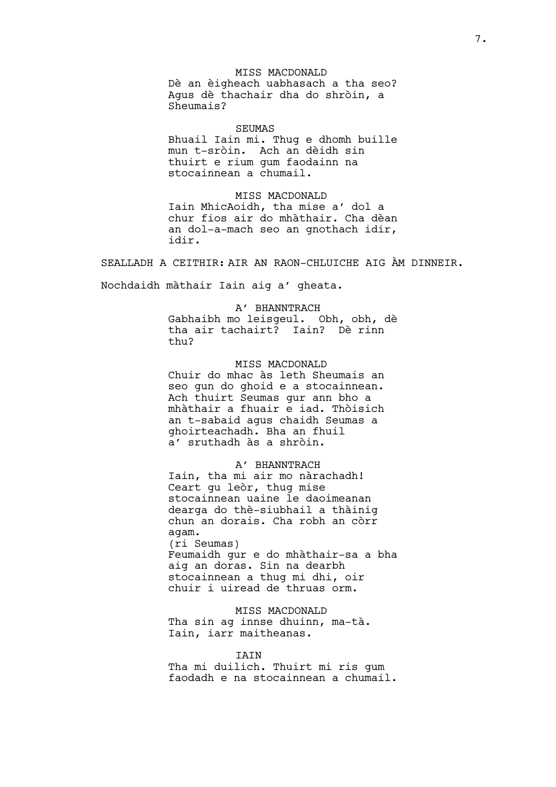# MISS MACDONALD Dè an èigheach uabhasach a tha seo? Agus dè thachair dha do shròin, a Sheumais?

#### SEUMAS

Bhuail Iain mi. Thug e dhomh buille mun t-sròin. Ach an dèidh sin thuirt e rium gum faodainn na stocainnean a chumail.

MISS MACDONALD Iain MhicAoidh, tha mise a' dol a chur fios air do mhàthair. Cha dèan an dol-a-mach seo an gnothach idir, idir.

SEALLADH A CEITHIR: AIR AN RAON-CHLUICHE AIG ÀM DINNEIR.

Nochdaidh màthair Iain aig a' gheata.

# A' BHANNTRACH Gabhaibh mo leisgeul. Obh, obh, dè tha air tachairt? Iain? Dè rinn thu?

MISS MACDONALD Chuir do mhac às leth Sheumais an seo gun do ghoid e a stocainnean. Ach thuirt Seumas gur ann bho a mhàthair a fhuair e iad. Thòisich an t-sabaid agus chaidh Seumas a ghoirteachadh. Bha an fhuil a' sruthadh às a shròin.

A' BHANNTRACH Iain, tha mi air mo nàrachadh! Ceart gu leòr, thug mise stocainnean uaine le daoimeanan dearga do thè-siubhail a thàinig chun an dorais. Cha robh an còrr agam. (ri Seumas) Feumaidh gur e do mhàthair-sa a bha aig an doras. Sin na dearbh stocainnean a thug mi dhi, oir chuir i uiread de thruas orm.

MISS MACDONALD Tha sin ag innse dhuinn, ma-tà. Iain, iarr maitheanas.

#### IAIN

Tha mi duilich. Thuirt mi ris gum faodadh e na stocainnean a chumail.